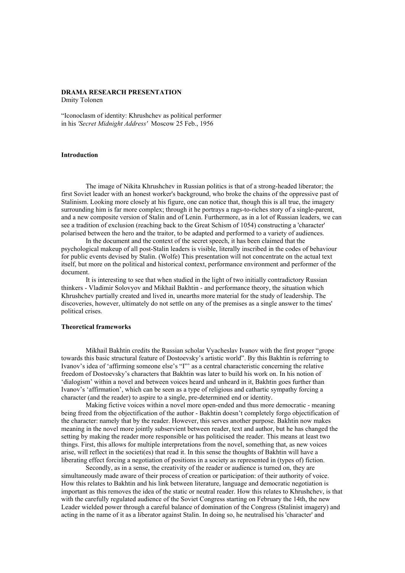# **DRAMA RESEARCH PRESENTATION**

Dmity Tolonen

"Iconoclasm of identity: Khrushchev as political performer in his *'Secret Midnight Address'* Moscow 25 Feb., 1956

# **Introduction**

The image of Nikita Khrushchev in Russian politics is that of a strong-headed liberator; the first Soviet leader with an honest worker's background, who broke the chains of the oppressive past of Stalinism. Looking more closely at his figure, one can notice that, though this is all true, the imagery surrounding him is far more complex; through it he portrays a rags-to-riches story of a single-parent, and a new composite version of Stalin and of Lenin. Furthermore, as in a lot of Russian leaders, we can see a tradition of exclusion (reaching back to the Great Schism of 1054) constructing a 'character' polarised between the hero and the traitor, to be adapted and performed to a variety of audiences.

In the document and the context of the secret speech, it has been claimed that the psychological makeup of all post-Stalin leaders is visible, literally inscribed in the codes of behaviour for public events devised by Stalin. (Wolfe) This presentation will not concentrate on the actual text itself, but more on the political and historical context, performance environment and performer of the document.

It is interesting to see that when studied in the light of two initially contradictory Russian thinkers - Vladimir Solovyov and Mikhail Bakhtin - and performance theory, the situation which Khrushchev partially created and lived in, unearths more material for the study of leadership. The discoveries, however, ultimately do not settle on any of the premises as a single answer to the times' political crises.

### **Theoretical frameworks**

Mikhail Bakhtin credits the Russian scholar Vyacheslav Ivanov with the first proper "grope towards this basic structural feature of Dostoevsky's artistic world". By this Bakhtin is referring to Ivanov's idea of 'affirming someone else's "I"' as a central characteristic concerning the relative freedom of Dostoevsky's characters that Bakhtin was later to build his work on. In his notion of 'dialogism' within a novel and between voices heard and unheard in it, Bakhtin goes further than Ivanov's 'affirmation', which can be seen as a type of religious and cathartic sympathy forcing a character (and the reader) to aspire to a single, pre-determined end or identity.

Making fictive voices within a novel more open-ended and thus more democratic - meaning being freed from the objectification of the author - Bakhtin doesn't completely forgo objectification of the character: namely that by the reader. However, this serves another purpose. Bakhtin now makes meaning in the novel more jointly subservient between reader, text and author, but he has changed the setting by making the reader more responsible or has politicised the reader. This means at least two things. First, this allows for multiple interpretations from the novel, something that, as new voices arise, will reflect in the societi(es) that read it. In this sense the thoughts of Bakhtin will have a liberating effect forcing a negotiation of positions in a society as represented in (types of) fiction.

Secondly, as in a sense, the creativity of the reader or audience is turned on, they are simultaneously made aware of their process of creation or participation: of their authority of voice. How this relates to Bakhtin and his link between literature, language and democratic negotiation is important as this removes the idea of the static or neutral reader. How this relates to Khrushchev, is that with the carefully regulated audience of the Soviet Congress starting on February the 14th, the new Leader wielded power through a careful balance of domination of the Congress (Stalinist imagery) and acting in the name of it as a liberator against Stalin. In doing so, he neutralised his 'character' and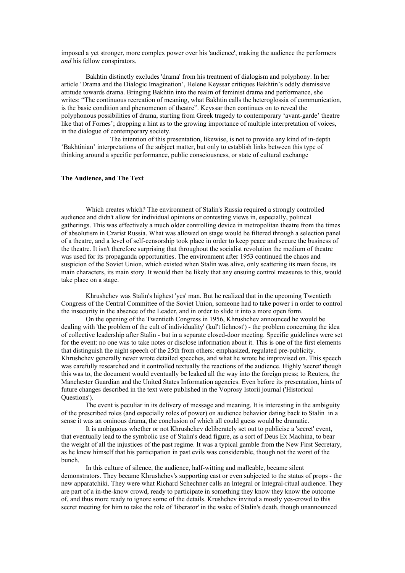imposed a yet stronger, more complex power over his 'audience', making the audience the performers *and* his fellow conspirators.

Bakhtin distinctly excludes 'drama' from his treatment of dialogism and polyphony. In her article 'Drama and the Dialogic Imagination', Helene Keyssar critiques Bakhtin's oddly dismissive attitude towards drama. Bringing Bakhtin into the realm of feminist drama and performance, she writes: "The continuous recreation of meaning, what Bakhtin calls the heteroglossia of communication, is the basic condition and phenomenon of theatre". Keyssar then continues on to reveal the polyphonous possibilities of drama, starting from Greek tragedy to contemporary 'avant-garde' theatre like that of Fornes'; dropping a hint as to the growing importance of multiple interpretation of voices. in the dialogue of contemporary society.

The intention of this presentation, likewise, is not to provide any kind of in-depth 'Bakhtinian' interpretations of the subject matter, but only to establish links between this type of thinking around a specific performance, public consciousness, or state of cultural exchange

## **The Audience, and The Text**

Which creates which? The environment of Stalin's Russia required a strongly controlled audience and didn't allow for individual opinions or contesting views in, especially, political gatherings. This was effectively a much older controlling device in metropolitan theatre from the times of absolutism in Czarist Russia. What was allowed on stage would be filtered through a selection panel of a theatre, and a level of self-censorship took place in order to keep peace and secure the business of the theatre. It isn't therefore surprising that throughout the socialist revolution the medium of theatre was used for its propaganda opportunities. The environment after 1953 continued the chaos and suspicion of the Soviet Union, which existed when Stalin was alive, only scattering its main focus, its main characters, its main story. It would then be likely that any ensuing control measures to this, would take place on a stage.

Khrushchev was Stalin's highest 'yes' man. But he realized that in the upcoming Twentieth Congress of the Central Committee of the Soviet Union, someone had to take power i n order to control the insecurity in the absence of the Leader, and in order to slide it into a more open form.

On the opening of the Twentieth Congress in 1956, Khrushchev announced he would be dealing with 'the problem of the cult of individuality' (kul't lichnost') - the problem concerning the idea of collective leadership after Stalin - but in a separate closed-door meeting. Specific guidelines were set for the event: no one was to take notes or disclose information about it. This is one of the first elements that distinguish the night speech of the 25th from others: emphasized, regulated pre-publicity. Khrushchev generally never wrote detailed speeches, and what he wrote he improvised on. This speech was carefully researched and it controlled textually the reactions of the audience. Highly 'secret' though this was to, the document would eventually be leaked all the way into the foreign press; to Reuters, the Manchester Guardian and the United States Information agencies. Even before its presentation, hints of future changes described in the text were published in the Voprosy Istorii journal ('Historical Questions').

The event is peculiar in its delivery of message and meaning. It is interesting in the ambiguity of the prescribed roles (and especially roles of power) on audience behavior dating back to Stalin in a sense it was an ominous drama, the conclusion of which all could guess would be dramatic.

It is ambiguous whether or not Khrushchev deliberately set out to publicise a 'secret' event, that eventually lead to the symbolic use of Stalin's dead figure, as a sort of Deus Ex Machina, to bear the weight of all the injustices of the past regime. It was a typical gamble from the New First Secretary, as he knew himself that his participation in past evils was considerable, though not the worst of the bunch.

In this culture of silence, the audience, half-witting and malleable, became silent demonstrators. They became Khrushchev's supporting cast or even subjected to the status of props - the new apparatchiki. They were what Richard Schechner calls an Integral or Integral-ritual audience. They are part of a in-the-know crowd, ready to participate in something they know they know the outcome of, and thus more ready to ignore some of the details. Krushchev invited a mostly yes-crowd to this secret meeting for him to take the role of 'liberator' in the wake of Stalin's death, though unannounced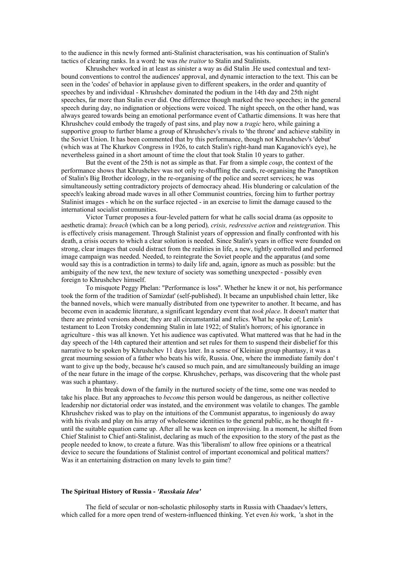to the audience in this newly formed anti-Stalinist characterisation, was his continuation of Stalin's tactics of clearing ranks. In a word: he was *the traitor* to Stalin and Stalinists.

Khrushchev worked in at least as sinister a way as did Stalin .He used contextual and textbound conventions to control the audiences' approval, and dynamic interaction to the text. This can be seen in the 'codes' of behavior in applause given to different speakers, in the order and quantity of speeches by and individual - Khrushchev dominated the podium in the 14th day and 25th night speeches, far more than Stalin ever did. One difference though marked the two speeches; in the general speech during day, no indignation or objections were voiced. The night speech, on the other hand, was always geared towards being an emotional performance event of Cathartic dimensions. It was here that Khrushchev could embody the tragedy of past sins, and play now a *tragic* hero, while gaining a supportive group to further blame a group of Khrushchev's rivals to 'the throne' and achieve stability in the Soviet Union. It has been commented that by this performance, though not Khrushchev's 'debut' (which was at The Kharkov Congress in 1926, to catch Stalin's right-hand man Kaganovich's eye), he nevertheless gained in a short amount of time the clout that took Stalin 10 years to gather.

But the event of the 25th is not as simple as that. Far from a simple *coup*, the context of the performance shows that Khrushchev was not only re-shuffling the cards, re-organising the Panoptikon of Stalin's Big Brother ideology, in the re-organising of the police and secret services; he was simultaneously setting contradictory projects of democracy ahead. His blundering or calculation of the speech's leaking abroad made waves in all other Communist countries, forcing him to further portray Stalinist images - which he on the surface rejected - in an exercise to limit the damage caused to the international socialist communities.

Victor Turner proposes a four-leveled pattern for what he calls social drama (as opposite to aesthetic drama): *breach* (which can be a long period)*, crisis, redressive action* and *reintegration*. This is effectively crisis management. Through Stalinist years of oppression and finally confronted with his death, a crisis occurs to which a clear solution is needed. Since Stalin's years in office were founded on strong, clear images that could distract from the realities in life, a new, tightly controlled and performed image campaign was needed. Needed, to reintegrate the Soviet people and the apparatus (and some would say this is a contradiction in terms) to daily life and, again, ignore as much as possible: but the ambiguity of the new text, the new texture of society was something unexpected - possibly even foreign to Khrushchev himself.

To misquote Peggy Phelan: "Performance is loss". Whether he knew it or not, his performance took the form of the tradition of Samizdat' (self-published). It became an unpublished chain letter, like the banned novels, which were manually distributed from one typewriter to another. It became, and has become even in academic literature, a significant legendary event that *took place*. It doesn't matter that there are printed versions about; they are all circumstantial and relics. What he spoke of; Lenin's testament to Leon Trotsky condemning Stalin in late 1922; of Stalin's horrors; of his ignorance in agriculture - this was all known. Yet his audience was captivated. What mattered was that he had in the day speech of the 14th captured their attention and set rules for them to suspend their disbelief for this narrative to be spoken by Khrushchev 11 days later. In a sense of Kleinian group phantasy, it was a great mourning session of a father who beats his wife, Russia. One, where the immediate family don' t want to give up the body, because he's caused so much pain, and are simultaneously building an image of the near future in the image of the corpse. Khrushchev, perhaps, was discovering that the whole past was such a phantasy.

In this break down of the family in the nurtured society of the time, some one was needed to take his place. But any approaches to *become* this person would be dangerous, as neither collective leadership nor dictatorial order was instated, and the environment was volatile to changes. The gamble Khrushchev risked was to play on the intuitions of the Communist apparatus, to ingeniously do away with his rivals and play on his array of wholesome identities to the general public, as he thought fit until the suitable equation came up. After all he was keen on improvising. In a moment, he shifted from Chief Stalinist to Chief anti-Stalinist, declaring as much of the exposition to the story of the past as the people needed to know, to create a future. Was this 'liberalism' to allow free opinions or a theatrical device to secure the foundations of Stalinist control of important economical and political matters? Was it an entertaining distraction on many levels to gain time?

### **The Spiritual History of Russia -** *'Russkaia Idea'*

The field of secular or non-scholastic philosophy starts in Russia with Chaadaev's letters, which called for a more open trend of western-influenced thinking. Yet even *his* work, 'a shot in the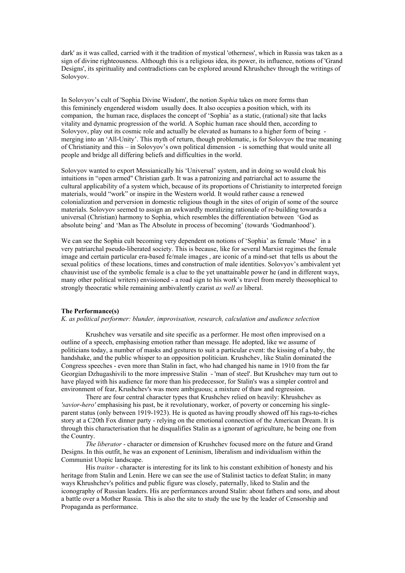dark' as it was called, carried with it the tradition of mystical 'otherness', which in Russia was taken as a sign of divine righteousness. Although this is a religious idea, its power, its influence, notions of 'Grand Designs', its spirituality and contradictions can be explored around Khrushchev through the writings of Solovyov.

In Solovyov's cult of 'Sophia Divine Wisdom', the notion *Sophia* takes on more forms than this femininely engendered wisdom usually does. It also occupies a position which, with its companion, the human race, displaces the concept of 'Sophia' as a static, (rational) site that lacks vitality and dynamic progression of the world. A Sophic human race should then, according to Solovyov, play out its cosmic role and actually be elevated as humans to a higher form of being merging into an 'All-Unity'. This myth of return, though problematic, is for Solovyov the true meaning of Christianity and this – in Solovyov's own political dimension - is something that would unite all people and bridge all differing beliefs and difficulties in the world.

Solovyov wanted to export Messianically his 'Universal' system, and in doing so would cloak his intuitions in "open armed" Christian garb. It was a patronizing and patriarchal act to assume the cultural applicability of a system which, because of its proportions of Christianity to interpreted foreign materials, would "work" or inspire in the Western world. It would rather cause a renewed colonialization and perversion in domestic religious though in the sites of origin of some of the source materials. Solovyov seemed to assign an awkwardly moralizing rationale of re-building towards a universal (Christian) harmony to Sophia, which resembles the differentiation between 'God as absolute being' and 'Man as The Absolute in process of becoming' (towards 'Godmanhood').

We can see the Sophia cult becoming very dependent on notions of 'Sophia' as female 'Muse' in a very patriarchal pseudo-liberated society. This is because, like for several Marxist regimes the female image and certain particular era-based fe/male images , are iconic of a mind-set that tells us about the sexual politics of these locations, times and construction of male identities. Solovyov's ambivalent yet chauvinist use of the symbolic female is a clue to the yet unattainable power he (and in different ways, many other political writers) envisioned - a road sign to his work's travel from merely theosophical to strongly theocratic while remaining ambivalently czarist *as well as* liberal.

### **The Performance(s)**

*K. as political performer: blunder, improvisation, research, calculation and audience selection*

Krushchev was versatile and site specific as a performer. He most often improvised on a outline of a speech, emphasising emotion rather than message. He adopted, like we assume of politicians today, a number of masks and gestures to suit a particular event: the kissing of a baby, the handshake, and the public whisper to an opposition politician. Krushchev, like Stalin dominated the Congress speeches - even more than Stalin in fact, who had changed his name in 1910 from the far Georgian Dzhugashivili to the more impressive Stalin - 'man of steel'. But Krushchev may turn out to have played with his audience far more than his predecessor, for Stalin's was a simpler control and environment of fear, Krushchev's was more ambiguous; a mixture of thaw and regression.

There are four central character types that Krushchev relied on heavily: Khrushchev as *'savior*-*hero'* emphasising his past, be it revolutionary, worker, of poverty or concerning his singleparent status (only between 1919-1923). He is quoted as having proudly showed off his rags-to-riches story at a C20th Fox dinner party - relying on the emotional connection of the American Dream. It is through this characterisation that he disqualifies Stalin as a ignorant of agriculture, he being one from the Country.

*The liberator* - character or dimension of Krushchev focused more on the future and Grand Designs. In this outfit, he was an exponent of Leninism, liberalism and individualism within the Communist Utopic landscape.

His *traitor* - character is interesting for its link to his constant exhibition of honesty and his heritage from Stalin and Lenin. Here we can see the use of Stalinist tactics to defeat Stalin; in many ways Khrushchev's politics and public figure was closely, paternally, liked to Stalin and the iconography of Russian leaders. His are performances around Stalin: about fathers and sons, and about a battle over a Mother Russia. This is also the site to study the use by the leader of Censorship and Propaganda as performance.